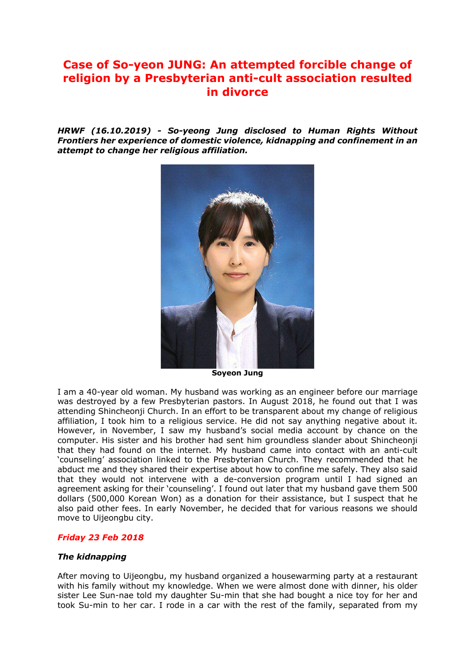# **Case of So-yeon JUNG: An attempted forcible change of religion by a Presbyterian anti-cult association resulted in divorce**

*HRWF (16.10.2019) - So-yeong Jung disclosed to Human Rights Without Frontiers her experience of domestic violence, kidnapping and confinement in an attempt to change her religious affiliation.*



**Soyeon Jung**

I am a 40-year old woman. My husband was working as an engineer before our marriage was destroyed by a few Presbyterian pastors. In August 2018, he found out that I was attending Shincheonji Church. In an effort to be transparent about my change of religious affiliation, I took him to a religious service. He did not say anything negative about it. However, in November, I saw my husband's social media account by chance on the computer. His sister and his brother had sent him groundless slander about Shincheonji that they had found on the internet. My husband came into contact with an anti-cult 'counseling' association linked to the Presbyterian Church. They recommended that he abduct me and they shared their expertise about how to confine me safely. They also said that they would not intervene with a de-conversion program until I had signed an agreement asking for their 'counseling'. I found out later that my husband gave them 500 dollars (500,000 Korean Won) as a donation for their assistance, but I suspect that he also paid other fees. In early November, he decided that for various reasons we should move to Uijeongbu city.

#### *Friday 23 Feb 2018*

#### *The kidnapping*

After moving to Uijeongbu, my husband organized a housewarming party at a restaurant with his family without my knowledge. When we were almost done with dinner, his older sister Lee Sun-nae told my daughter Su-min that she had bought a nice toy for her and took Su-min to her car. I rode in a car with the rest of the family, separated from my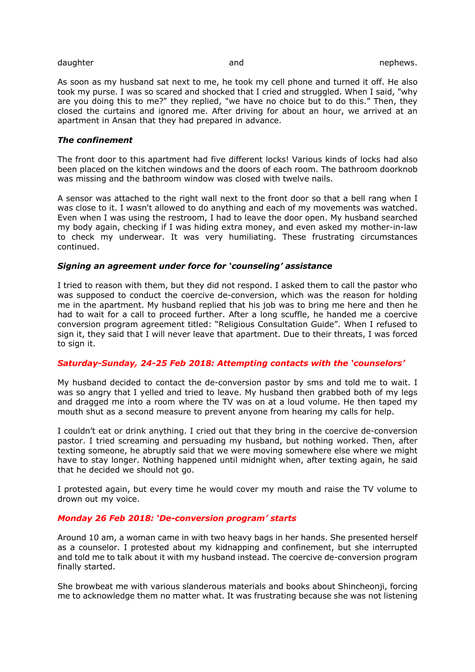#### daughter and nephews. The nephews and the nephews and the nephews of the nephews of the nephews.

As soon as my husband sat next to me, he took my cell phone and turned it off. He also took my purse. I was so scared and shocked that I cried and struggled. When I said, "why are you doing this to me?" they replied, "we have no choice but to do this." Then, they closed the curtains and ignored me. After driving for about an hour, we arrived at an apartment in Ansan that they had prepared in advance.

## *The confinement*

The front door to this apartment had five different locks! Various kinds of locks had also been placed on the kitchen windows and the doors of each room. The bathroom doorknob was missing and the bathroom window was closed with twelve nails.

A sensor was attached to the right wall next to the front door so that a bell rang when I was close to it. I wasn't allowed to do anything and each of my movements was watched. Even when I was using the restroom, I had to leave the door open. My husband searched my body again, checking if I was hiding extra money, and even asked my mother-in-law to check my underwear. It was very humiliating. These frustrating circumstances continued.

## *Signing an agreement under force for 'counseling' assistance*

I tried to reason with them, but they did not respond. I asked them to call the pastor who was supposed to conduct the coercive de-conversion, which was the reason for holding me in the apartment. My husband replied that his job was to bring me here and then he had to wait for a call to proceed further. After a long scuffle, he handed me a coercive conversion program agreement titled: "Religious Consultation Guide". When I refused to sign it, they said that I will never leave that apartment. Due to their threats, I was forced to sign it.

# *Saturday-Sunday, 24-25 Feb 2018: Attempting contacts with the 'counselors'*

My husband decided to contact the de-conversion pastor by sms and told me to wait. I was so angry that I yelled and tried to leave. My husband then grabbed both of my legs and dragged me into a room where the TV was on at a loud volume. He then taped my mouth shut as a second measure to prevent anyone from hearing my calls for help.

I couldn't eat or drink anything. I cried out that they bring in the coercive de-conversion pastor. I tried screaming and persuading my husband, but nothing worked. Then, after texting someone, he abruptly said that we were moving somewhere else where we might have to stay longer. Nothing happened until midnight when, after texting again, he said that he decided we should not go.

I protested again, but every time he would cover my mouth and raise the TV volume to drown out my voice.

# *Monday 26 Feb 2018: 'De-conversion program' starts*

Around 10 am, a woman came in with two heavy bags in her hands. She presented herself as a counselor. I protested about my kidnapping and confinement, but she interrupted and told me to talk about it with my husband instead. The coercive de-conversion program finally started.

She browbeat me with various slanderous materials and books about Shincheonji, forcing me to acknowledge them no matter what. It was frustrating because she was not listening